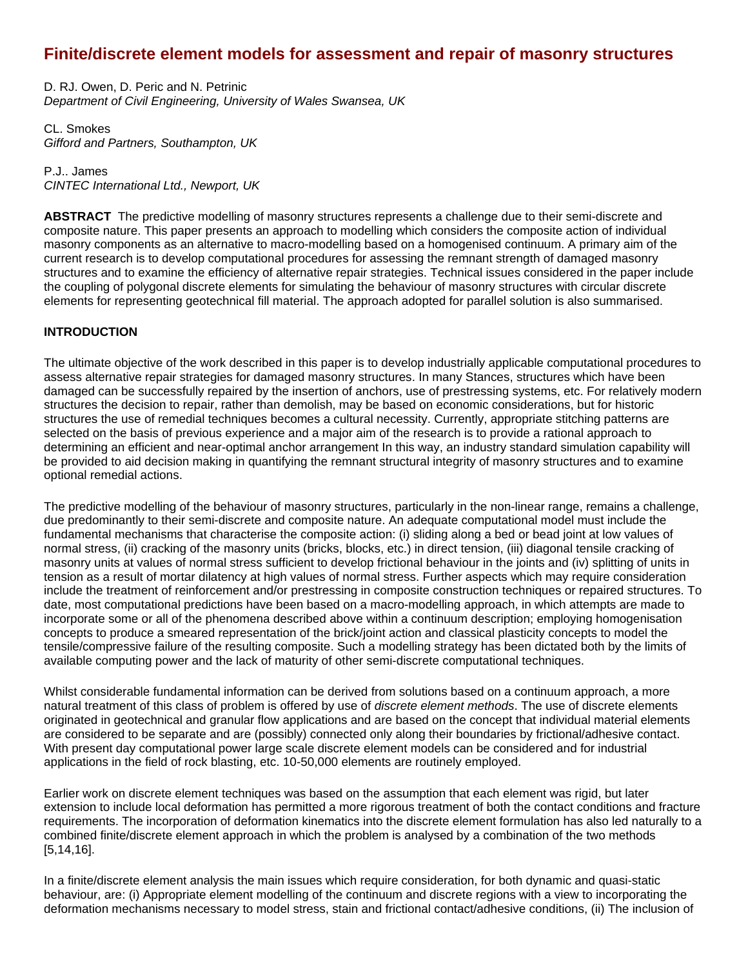# **Finite/discrete element models for assessment and repair of masonry structures**

D. RJ. Owen, D. Peric and N. Petrinic *Department of Civil Engineering, University of Wales Swansea, UK* 

CL. Smokes *Gifford and Partners, Southampton, UK*

P.J.. James *CINTEC International Ltd., Newport, UK*

**ABSTRACT** The predictive modelling of masonry structures represents a challenge due to their semi-discrete and composite nature. This paper presents an approach to modelling which considers the composite action of individual masonry components as an alternative to macro-modelling based on a homogenised continuum. A primary aim of the current research is to develop computational procedures for assessing the remnant strength of damaged masonry structures and to examine the efficiency of alternative repair strategies. Technical issues considered in the paper include the coupling of polygonal discrete elements for simulating the behaviour of masonry structures with circular discrete elements for representing geotechnical fill material. The approach adopted for parallel solution is also summarised.

### **INTRODUCTION**

The ultimate objective of the work described in this paper is to develop industrially applicable computational procedures to assess alternative repair strategies for damaged masonry structures. In many Stances, structures which have been damaged can be successfully repaired by the insertion of anchors, use of prestressing systems, etc. For relatively modern structures the decision to repair, rather than demolish, may be based on economic considerations, but for historic structures the use of remedial techniques becomes a cultural necessity. Currently, appropriate stitching patterns are selected on the basis of previous experience and a major aim of the research is to provide a rational approach to determining an efficient and near-optimal anchor arrangement In this way, an industry standard simulation capability will be provided to aid decision making in quantifying the remnant structural integrity of masonry structures and to examine optional remedial actions.

The predictive modelling of the behaviour of masonry structures, particularly in the non-linear range, remains a challenge, due predominantly to their semi-discrete and composite nature. An adequate computational model must include the fundamental mechanisms that characterise the composite action: (i) sliding along a bed or bead joint at low values of normal stress, (ii) cracking of the masonry units (bricks, blocks, etc.) in direct tension, (iii) diagonal tensile cracking of masonry units at values of normal stress sufficient to develop frictional behaviour in the joints and (iv) splitting of units in tension as a result of mortar dilatency at high values of normal stress. Further aspects which may require consideration include the treatment of reinforcement and/or prestressing in composite construction techniques or repaired structures. To date, most computational predictions have been based on a macro-modelling approach, in which attempts are made to incorporate some or all of the phenomena described above within a continuum description; employing homogenisation concepts to produce a smeared representation of the brick/joint action and classical plasticity concepts to model the tensile/compressive failure of the resulting composite. Such a modelling strategy has been dictated both by the limits of available computing power and the lack of maturity of other semi-discrete computational techniques.

Whilst considerable fundamental information can be derived from solutions based on a continuum approach, a more natural treatment of this class of problem is offered by use of *discrete element methods*. The use of discrete elements originated in geotechnical and granular flow applications and are based on the concept that individual material elements are considered to be separate and are (possibly) connected only along their boundaries by frictional/adhesive contact. With present day computational power large scale discrete element models can be considered and for industrial applications in the field of rock blasting, etc. 10-50,000 elements are routinely employed.

Earlier work on discrete element techniques was based on the assumption that each element was rigid, but later extension to include local deformation has permitted a more rigorous treatment of both the contact conditions and fracture requirements. The incorporation of deformation kinematics into the discrete element formulation has also led naturally to a combined finite/discrete element approach in which the problem is analysed by a combination of the two methods [5,14,16].

In a finite/discrete element analysis the main issues which require consideration, for both dynamic and quasi-static behaviour, are: (i) Appropriate element modelling of the continuum and discrete regions with a view to incorporating the deformation mechanisms necessary to model stress, stain and frictional contact/adhesive conditions, (ii) The inclusion of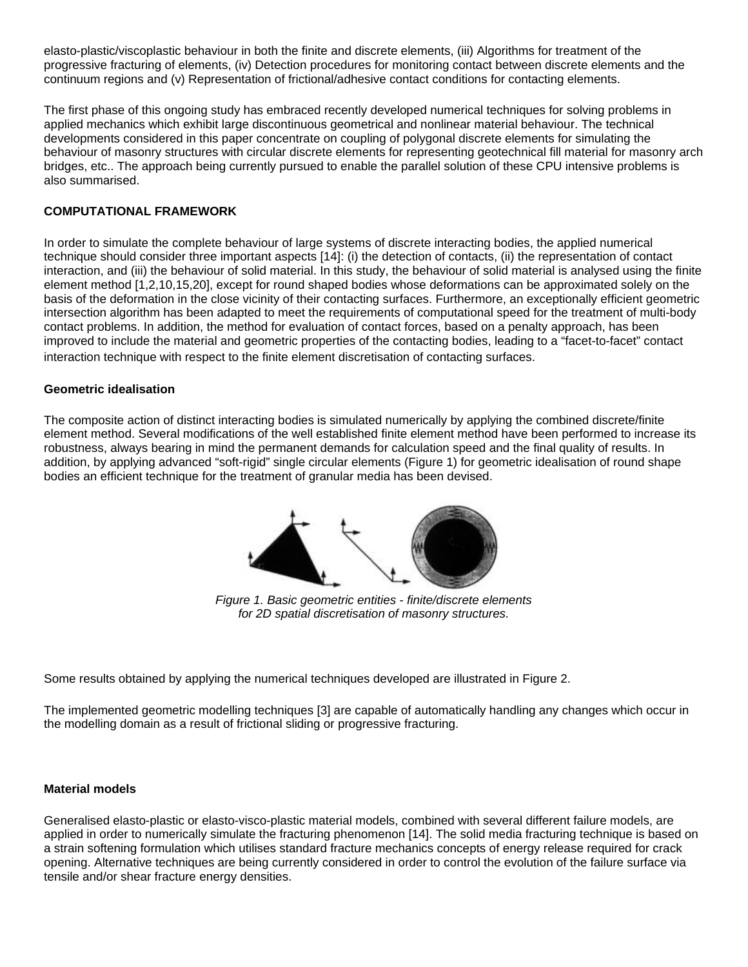elasto-plastic/viscoplastic behaviour in both the finite and discrete elements, (iii) Algorithms for treatment of the progressive fracturing of elements, (iv) Detection procedures for monitoring contact between discrete elements and the continuum regions and (v) Representation of frictional/adhesive contact conditions for contacting elements.

The first phase of this ongoing study has embraced recently developed numerical techniques for solving problems in applied mechanics which exhibit large discontinuous geometrical and nonlinear material behaviour. The technical developments considered in this paper concentrate on coupling of polygonal discrete elements for simulating the behaviour of masonry structures with circular discrete elements for representing geotechnical fill material for masonry arch bridges, etc.. The approach being currently pursued to enable the parallel solution of these CPU intensive problems is also summarised.

# **COMPUTATIONAL FRAMEWORK**

In order to simulate the complete behaviour of large systems of discrete interacting bodies, the applied numerical technique should consider three important aspects [14]: (i) the detection of contacts, (ii) the representation of contact interaction, and (iii) the behaviour of solid material. In this study, the behaviour of solid material is analysed using the finite element method [1,2,10,15,20], except for round shaped bodies whose deformations can be approximated solely on the basis of the deformation in the close vicinity of their contacting surfaces. Furthermore, an exceptionally efficient geometric intersection algorithm has been adapted to meet the requirements of computational speed for the treatment of multi-body contact problems. In addition, the method for evaluation of contact forces, based on a penalty approach, has been improved to include the material and geometric properties of the contacting bodies, leading to a "facet-to-facet" contact interaction technique with respect to the finite element discretisation of contacting surfaces.

### **Geometric idealisation**

The composite action of distinct interacting bodies is simulated numerically by applying the combined discrete/finite element method. Several modifications of the well established finite element method have been performed to increase its robustness, always bearing in mind the permanent demands for calculation speed and the final quality of results. In addition, by applying advanced "soft-rigid" single circular elements (Figure 1) for geometric idealisation of round shape bodies an efficient technique for the treatment of granular media has been devised.



*Figure 1. Basic geometric entities - finite/discrete elements for 2D spatial discretisation of masonry structures.*

Some results obtained by applying the numerical techniques developed are illustrated in Figure 2.

The implemented geometric modelling techniques [3] are capable of automatically handling any changes which occur in the modelling domain as a result of frictional sliding or progressive fracturing.

### **Material models**

Generalised elasto-plastic or elasto-visco-plastic material models, combined with several different failure models, are applied in order to numerically simulate the fracturing phenomenon [14]. The solid media fracturing technique is based on a strain softening formulation which utilises standard fracture mechanics concepts of energy release required for crack opening. Alternative techniques are being currently considered in order to control the evolution of the failure surface via tensile and/or shear fracture energy densities.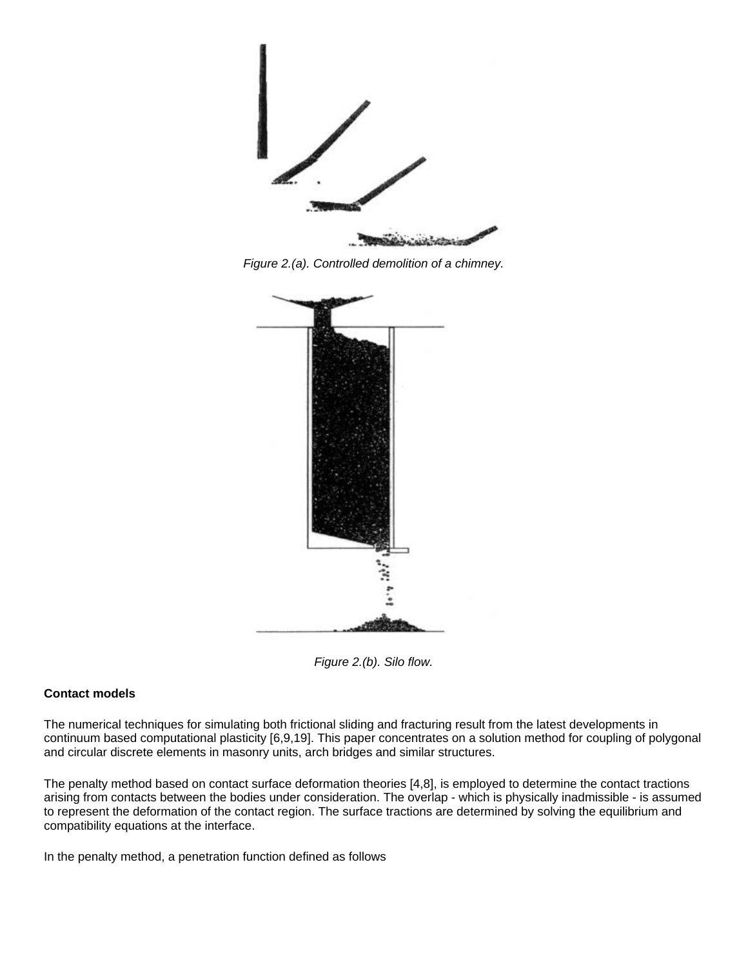

*Figure 2.(a). Controlled demolition of a chimney.*



*Figure 2.(b). Silo flow.*

### **Contact models**

The numerical techniques for simulating both frictional sliding and fracturing result from the latest developments in continuum based computational plasticity [6,9,19]. This paper concentrates on a solution method for coupling of polygonal and circular discrete elements in masonry units, arch bridges and similar structures.

The penalty method based on contact surface deformation theories [4,8], is employed to determine the contact tractions arising from contacts between the bodies under consideration. The overlap - which is physically inadmissible - is assumed to represent the deformation of the contact region. The surface tractions are determined by solving the equilibrium and compatibility equations at the interface.

In the penalty method, a penetration function defined as follows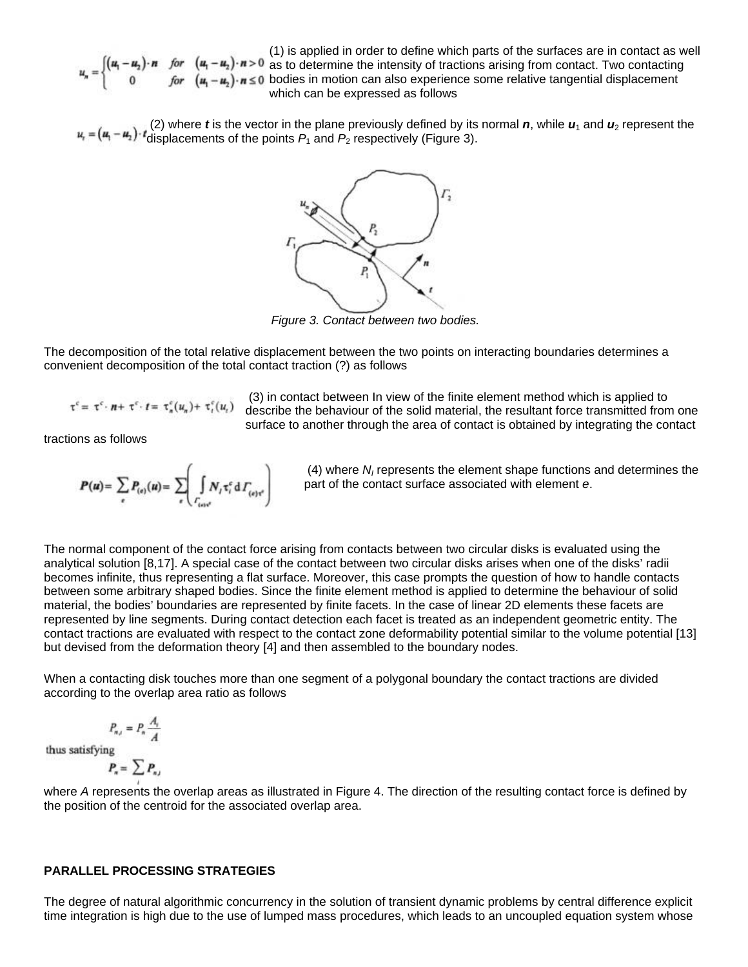(1) is applied in order to define which parts of the surfaces are in contact as well as to determine the intensity of tractions arising from contact. Two contacting bodies in motion can also experience some relative tangential displacement which can be expressed as follows

(2) where *t* is the vector in the plane previously defined by its normal  $n$ , while  $u_1$  and  $u_2$  represent the  $u_i = (u_1 - u_2) \cdot t$  displacements of the points  $P_1$  and  $P_2$  respectively (Figure 3).



 *Figure 3. Contact between two bodies.*

The decomposition of the total relative displacement between the two points on interacting boundaries determines a convenient decomposition of the total contact traction (?) as follows

$$
\tau^c = \tau^c \cdot n + \tau^c \cdot t = \tau_n^c(u_n) + \tau_i^c(u_t)
$$

tractions as follows

$$
P(u) = \sum_{e} P_{(e)}(u) = \sum_{e} \left( \int_{\Gamma_{(e)}e} N_i \tau_i^e d \Gamma_{(e)} e \right)
$$

(4) where  $N_l$  represents the element shape functions and determines the part of the contact surface associated with element *e*.

 (3) in contact between In view of the finite element method which is applied to describe the behaviour of the solid material, the resultant force transmitted from one surface to another through the area of contact is obtained by integrating the contact

The normal component of the contact force arising from contacts between two circular disks is evaluated using the analytical solution [8,17]. A special case of the contact between two circular disks arises when one of the disks' radii becomes infinite, thus representing a flat surface. Moreover, this case prompts the question of how to handle contacts between some arbitrary shaped bodies. Since the finite element method is applied to determine the behaviour of solid material, the bodies' boundaries are represented by finite facets. In the case of linear 2D elements these facets are represented by line segments. During contact detection each facet is treated as an independent geometric entity. The contact tractions are evaluated with respect to the contact zone deformability potential similar to the volume potential [13] but devised from the deformation theory [4] and then assembled to the boundary nodes.

When a contacting disk touches more than one segment of a polygonal boundary the contact tractions are divided according to the overlap area ratio as follows

$$
P_{n,i} = P_n \frac{A_i}{A}
$$

thus satisfying

$$
P_n = \sum P_{n,j}
$$

where *A* represents the overlap areas as illustrated in Figure 4. The direction of the resulting contact force is defined by the position of the centroid for the associated overlap area.

#### **PARALLEL PROCESSING STRATEGIES**

The degree of natural algorithmic concurrency in the solution of transient dynamic problems by central difference explicit time integration is high due to the use of lumped mass procedures, which leads to an uncoupled equation system whose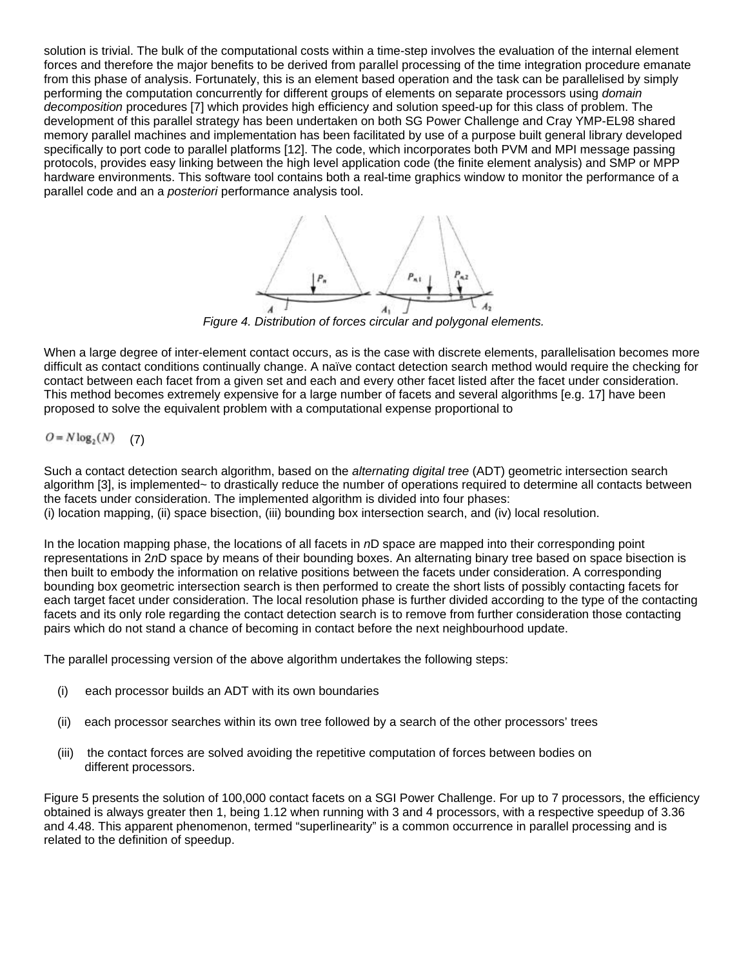solution is trivial. The bulk of the computational costs within a time-step involves the evaluation of the internal element forces and therefore the major benefits to be derived from parallel processing of the time integration procedure emanate from this phase of analysis. Fortunately, this is an element based operation and the task can be parallelised by simply performing the computation concurrently for different groups of elements on separate processors using *domain decomposition* procedures [7] which provides high efficiency and solution speed-up for this class of problem. The development of this parallel strategy has been undertaken on both SG Power Challenge and Cray YMP-EL98 shared memory parallel machines and implementation has been facilitated by use of a purpose built general library developed specifically to port code to parallel platforms [12]. The code, which incorporates both PVM and MPI message passing protocols, provides easy linking between the high level application code (the finite element analysis) and SMP or MPP hardware environments. This software tool contains both a real-time graphics window to monitor the performance of a parallel code and an a *posteriori* performance analysis tool.



*Figure 4. Distribution of forces circular and polygonal elements.*

When a large degree of inter-element contact occurs, as is the case with discrete elements, parallelisation becomes more difficult as contact conditions continually change. A naïve contact detection search method would require the checking for contact between each facet from a given set and each and every other facet listed after the facet under consideration. This method becomes extremely expensive for a large number of facets and several algorithms [e.g. 17] have been proposed to solve the equivalent problem with a computational expense proportional to

 $O = N \log_2(N)$ (7)

Such a contact detection search algorithm, based on the *alternating digital tree* (ADT) geometric intersection search algorithm [3], is implemented~ to drastically reduce the number of operations required to determine all contacts between the facets under consideration. The implemented algorithm is divided into four phases: (i) location mapping, (ii) space bisection, (iii) bounding box intersection search, and (iv) local resolution.

In the location mapping phase, the locations of all facets in *n*D space are mapped into their corresponding point representations in 2*n*D space by means of their bounding boxes. An alternating binary tree based on space bisection is then built to embody the information on relative positions between the facets under consideration. A corresponding bounding box geometric intersection search is then performed to create the short lists of possibly contacting facets for each target facet under consideration. The local resolution phase is further divided according to the type of the contacting facets and its only role regarding the contact detection search is to remove from further consideration those contacting pairs which do not stand a chance of becoming in contact before the next neighbourhood update.

The parallel processing version of the above algorithm undertakes the following steps:

- (i) each processor builds an ADT with its own boundaries
- (ii) each processor searches within its own tree followed by a search of the other processors' trees
- (iii) the contact forces are solved avoiding the repetitive computation of forces between bodies on different processors.

Figure 5 presents the solution of 100,000 contact facets on a SGI Power Challenge. For up to 7 processors, the efficiency obtained is always greater then 1, being 1.12 when running with 3 and 4 processors, with a respective speedup of 3.36 and 4.48. This apparent phenomenon, termed "superlinearity" is a common occurrence in parallel processing and is related to the definition of speedup.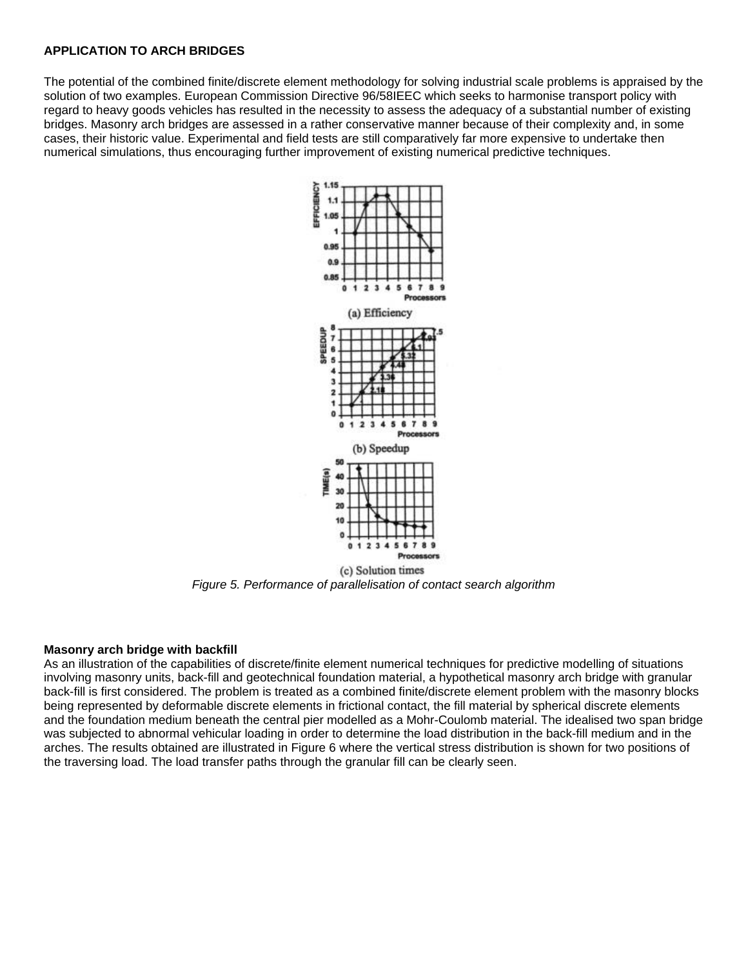## **APPLICATION TO ARCH BRIDGES**

The potential of the combined finite/discrete element methodology for solving industrial scale problems is appraised by the solution of two examples. European Commission Directive 96/58IEEC which seeks to harmonise transport policy with regard to heavy goods vehicles has resulted in the necessity to assess the adequacy of a substantial number of existing bridges. Masonry arch bridges are assessed in a rather conservative manner because of their complexity and, in some cases, their historic value. Experimental and field tests are still comparatively far more expensive to undertake then numerical simulations, thus encouraging further improvement of existing numerical predictive techniques.



*Figure 5. Performance of parallelisation of contact search algorithm*

## **Masonry arch bridge with backfill**

As an illustration of the capabilities of discrete/finite element numerical techniques for predictive modelling of situations involving masonry units, back-fill and geotechnical foundation material, a hypothetical masonry arch bridge with granular back-fill is first considered. The problem is treated as a combined finite/discrete element problem with the masonry blocks being represented by deformable discrete elements in frictional contact, the fill material by spherical discrete elements and the foundation medium beneath the central pier modelled as a Mohr-Coulomb material. The idealised two span bridge was subjected to abnormal vehicular loading in order to determine the load distribution in the back-fill medium and in the arches. The results obtained are illustrated in Figure 6 where the vertical stress distribution is shown for two positions of the traversing load. The load transfer paths through the granular fill can be clearly seen.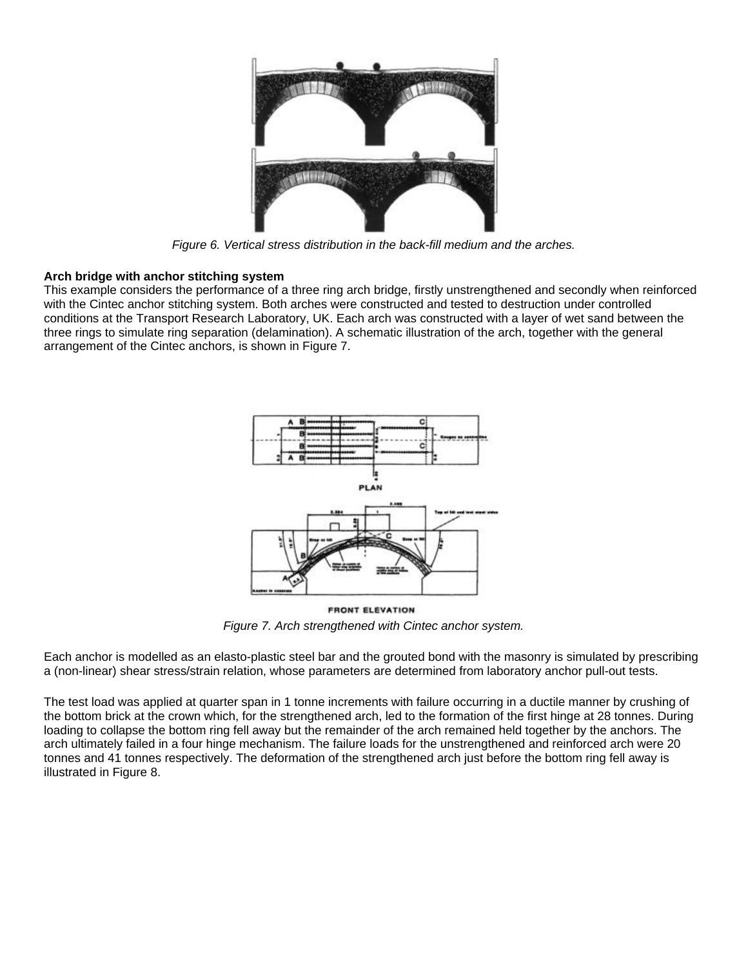

*Figure 6. Vertical stress distribution in the back-fill medium and the arches.*

# **Arch bridge with anchor stitching system**

This example considers the performance of a three ring arch bridge, firstly unstrengthened and secondly when reinforced with the Cintec anchor stitching system. Both arches were constructed and tested to destruction under controlled conditions at the Transport Research Laboratory, UK. Each arch was constructed with a layer of wet sand between the three rings to simulate ring separation (delamination). A schematic illustration of the arch, together with the general arrangement of the Cintec anchors, is shown in Figure 7.



**FRONT ELEVATION** *Figure 7. Arch strengthened with Cintec anchor system.*

Each anchor is modelled as an elasto-plastic steel bar and the grouted bond with the masonry is simulated by prescribing a (non-linear) shear stress/strain relation, whose parameters are determined from laboratory anchor pull-out tests.

The test load was applied at quarter span in 1 tonne increments with failure occurring in a ductile manner by crushing of the bottom brick at the crown which, for the strengthened arch, led to the formation of the first hinge at 28 tonnes. During loading to collapse the bottom ring fell away but the remainder of the arch remained held together by the anchors. The arch ultimately failed in a four hinge mechanism. The failure loads for the unstrengthened and reinforced arch were 20 tonnes and 41 tonnes respectively. The deformation of the strengthened arch just before the bottom ring fell away is illustrated in Figure 8.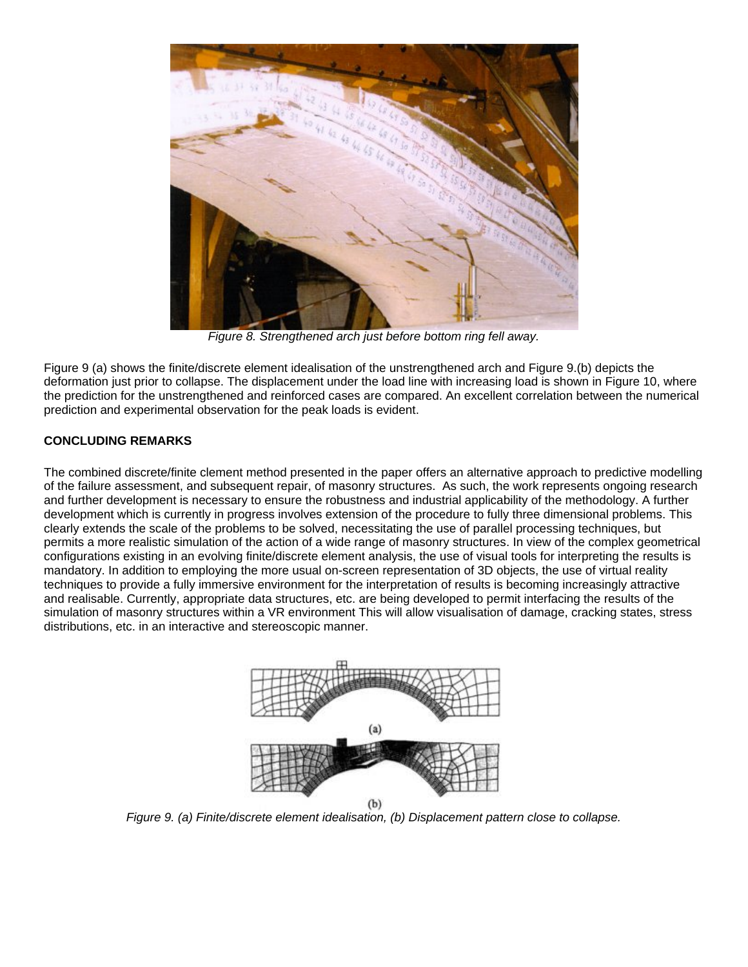

*Figure 8. Strengthened arch just before bottom ring fell away.*

Figure 9 (a) shows the finite/discrete element idealisation of the unstrengthened arch and Figure 9.(b) depicts the deformation just prior to collapse. The displacement under the load line with increasing load is shown in Figure 10, where the prediction for the unstrengthened and reinforced cases are compared. An excellent correlation between the numerical prediction and experimental observation for the peak loads is evident.

# **CONCLUDING REMARKS**

The combined discrete/finite clement method presented in the paper offers an alternative approach to predictive modelling of the failure assessment, and subsequent repair, of masonry structures. As such, the work represents ongoing research and further development is necessary to ensure the robustness and industrial applicability of the methodology. A further development which is currently in progress involves extension of the procedure to fully three dimensional problems. This clearly extends the scale of the problems to be solved, necessitating the use of parallel processing techniques, but permits a more realistic simulation of the action of a wide range of masonry structures. In view of the complex geometrical configurations existing in an evolving finite/discrete element analysis, the use of visual tools for interpreting the results is mandatory. In addition to employing the more usual on-screen representation of 3D objects, the use of virtual reality techniques to provide a fully immersive environment for the interpretation of results is becoming increasingly attractive and realisable. Currently, appropriate data structures, etc. are being developed to permit interfacing the results of the simulation of masonry structures within a VR environment This will allow visualisation of damage, cracking states, stress distributions, etc. in an interactive and stereoscopic manner.



*Figure 9. (a) Finite/discrete element idealisation, (b) Displacement pattern close to collapse.*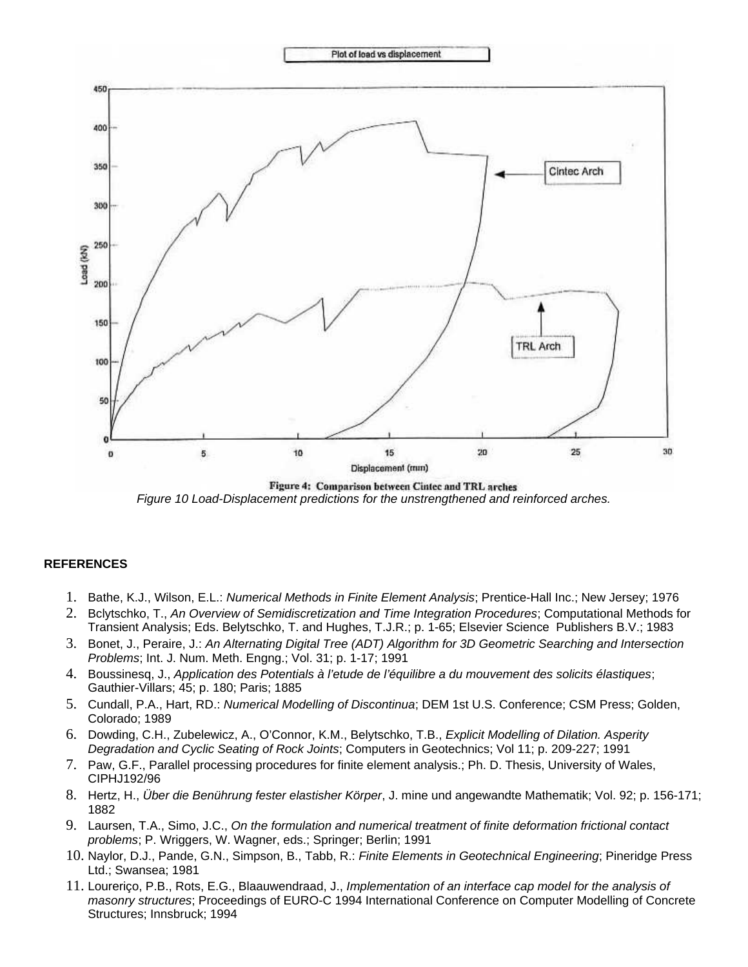

Figure 4: Comparison between Cintec and TRL arches *Figure 10 Load-Displacement predictions for the unstrengthened and reinforced arches.*

## **REFERENCES**

- 1. Bathe, K.J., Wilson, E.L.: *Numerical Methods in Finite Element Analysis*; Prentice-Hall Inc.; New Jersey; 1976
- 2. Bclytschko, T., *An Overview of Semidiscretization and Time Integration Procedures*; Computational Methods for Transient Analysis; Eds. Belytschko, T. and Hughes, T.J.R.; p. 1-65; Elsevier Science Publishers B.V.; 1983
- 3. Bonet, J., Peraire, J.: *An Alternating Digital Tree (ADT) Algorithm for 3D Geometric Searching and Intersection Problems*; Int. J. Num. Meth. Engng.; Vol. 31; p. 1-17; 1991
- 4. Boussinesq, J., *Application des Potentials à l'etude de l'équilibre a du mouvement des solicits élastiques*; Gauthier-Villars; 45; p. 180; Paris; 1885
- 5. Cundall, P.A., Hart, RD.: *Numerical Modelling of Discontinua*; DEM 1st U.S. Conference; CSM Press; Golden, Colorado; 1989
- 6. Dowding, C.H., Zubelewicz, A., O'Connor, K.M., Belytschko, T.B., *Explicit Modelling of Dilation. Asperity Degradation and Cyclic Seating of Rock Joints*; Computers in Geotechnics; Vol 11; p. 209-227; 1991
- 7. Paw, G.F., Parallel processing procedures for finite element analysis.; Ph. D. Thesis, University of Wales, CIPHJ192/96
- 8. Hertz, H., *Über die Benührung fester elastisher Körper*, J. mine und angewandte Mathematik; Vol. 92; p. 156-171; 1882
- 9. Laursen, T.A., Simo, J.C., *On the formulation and numerical treatment of finite deformation frictional contact problems*; P. Wriggers, W. Wagner, eds.; Springer; Berlin; 1991
- 10. Naylor, D.J., Pande, G.N., Simpson, B., Tabb, R.: *Finite Elements in Geotechnical Engineering*; Pineridge Press Ltd.; Swansea; 1981
- 11. Loureriço, P.B., Rots, E.G., Blaauwendraad, J., *Implementation of an interface cap model for the analysis of masonry structures*; Proceedings of EURO-C 1994 International Conference on Computer Modelling of Concrete Structures; Innsbruck; 1994